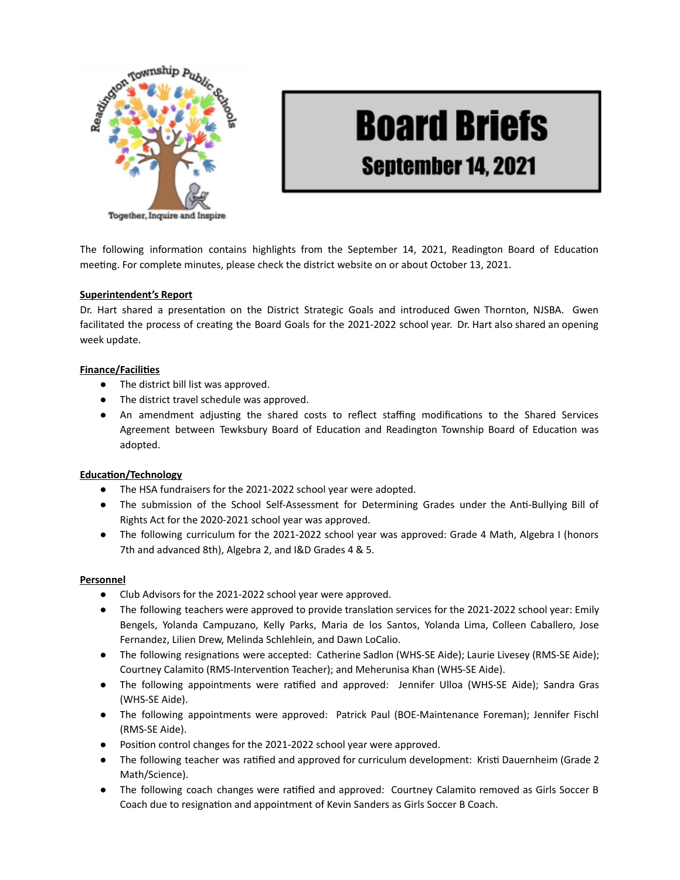

# **Board Briefs** September 14, 2021

The following information contains highlights from the September 14, 2021, Readington Board of Education meeting. For complete minutes, please check the district website on or about October 13, 2021.

# **Superintendent's Report**

Dr. Hart shared a presentation on the District Strategic Goals and introduced Gwen Thornton, NJSBA. Gwen facilitated the process of creating the Board Goals for the 2021-2022 school year. Dr. Hart also shared an opening week update.

# **Finance/Facilities**

- The district bill list was approved.
- The district travel schedule was approved.
- An amendment adjusting the shared costs to reflect staffing modifications to the Shared Services Agreement between Tewksbury Board of Education and Readington Township Board of Education was adopted.

### **Education/Technology**

- The HSA fundraisers for the 2021-2022 school year were adopted.
- The submission of the School Self-Assessment for Determining Grades under the Anti-Bullying Bill of Rights Act for the 2020-2021 school year was approved.
- The following curriculum for the 2021-2022 school year was approved: Grade 4 Math, Algebra I (honors 7th and advanced 8th), Algebra 2, and I&D Grades 4 & 5.

### **Personnel**

- Club Advisors for the 2021-2022 school year were approved.
- The following teachers were approved to provide translation services for the 2021-2022 school year: Emily Bengels, Yolanda Campuzano, Kelly Parks, Maria de los Santos, Yolanda Lima, Colleen Caballero, Jose Fernandez, Lilien Drew, Melinda Schlehlein, and Dawn LoCalio.
- The following resignations were accepted: Catherine Sadlon (WHS-SE Aide); Laurie Livesey (RMS-SE Aide); Courtney Calamito (RMS-Intervention Teacher); and Meherunisa Khan (WHS-SE Aide).
- The following appointments were ratified and approved: Jennifer Ulloa (WHS-SE Aide); Sandra Gras (WHS-SE Aide).
- The following appointments were approved: Patrick Paul (BOE-Maintenance Foreman); Jennifer Fischl (RMS-SE Aide).
- Position control changes for the 2021-2022 school year were approved.
- The following teacher was ratified and approved for curriculum development: Kristi Dauernheim (Grade 2 Math/Science).
- The following coach changes were ratified and approved: Courtney Calamito removed as Girls Soccer B Coach due to resignation and appointment of Kevin Sanders as Girls Soccer B Coach.